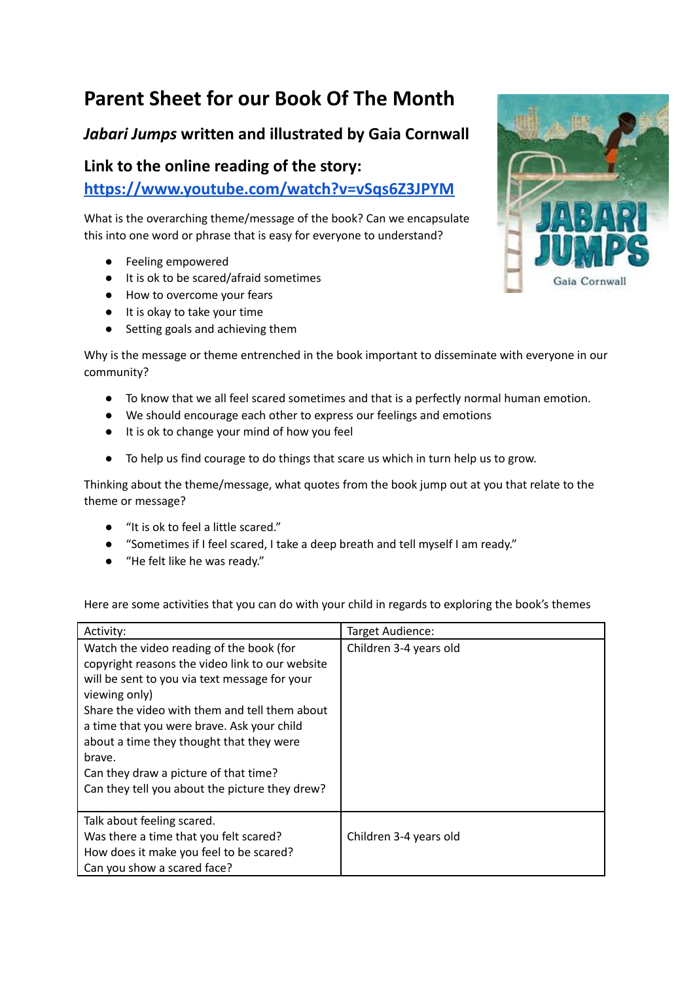## **Parent Sheet for our Book Of The Month**

## *Jabari Jumps* **written and illustrated by Gaia Cornwall**

## **Link to the online reading of the story:**

**<https://www.youtube.com/watch?v=vSqs6Z3JPYM>**

What is the overarching theme/message of the book? Can we encapsulate this into one word or phrase that is easy for everyone to understand?

- Feeling empowered
- It is ok to be scared/afraid sometimes
- How to overcome your fears
- It is okay to take your time
- Setting goals and achieving them

Why is the message or theme entrenched in the book important to disseminate with everyone in our community?

- To know that we all feel scared sometimes and that is a perfectly normal human emotion.
- We should encourage each other to express our feelings and emotions
- It is ok to change your mind of how you feel
- To help us find courage to do things that scare us which in turn help us to grow.

Thinking about the theme/message, what quotes from the book jump out at you that relate to the theme or message?

- "It is ok to feel a little scared."
- "Sometimes if I feel scared, I take a deep breath and tell myself I am ready."
- "He felt like he was ready."

Here are some activities that you can do with your child in regards to exploring the book's themes

| Activity:                                                                                                                                                                                                                                                                                                                                                                                                     | Target Audience:       |
|---------------------------------------------------------------------------------------------------------------------------------------------------------------------------------------------------------------------------------------------------------------------------------------------------------------------------------------------------------------------------------------------------------------|------------------------|
| Watch the video reading of the book (for<br>copyright reasons the video link to our website<br>will be sent to you via text message for your<br>viewing only)<br>Share the video with them and tell them about<br>a time that you were brave. Ask your child<br>about a time they thought that they were<br>brave.<br>Can they draw a picture of that time?<br>Can they tell you about the picture they drew? | Children 3-4 years old |
| Talk about feeling scared.<br>Was there a time that you felt scared?<br>How does it make you feel to be scared?<br>Can you show a scared face?                                                                                                                                                                                                                                                                | Children 3-4 years old |